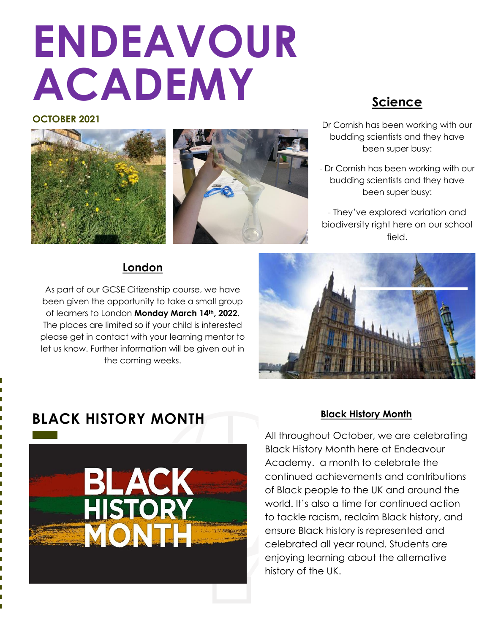# **ENDEAVOUR ACADEMY**

#### **OCTOBER 2021**



- Dr Cornish has been working with our budding scientists and they have been super busy:
- Dr Cornish has been working with our budding scientists and they have been super busy:
- They've explored variation and biodiversity right here on our school field.

## **London**

As part of our GCSE Citizenship course, we have been given the opportunity to take a small group of learners to London **Monday March 14th, 2022.**  The places are limited so if your child is interested please get in contact with your learning mentor to let us know. Further information will be given out in the coming weeks.



# **BLACK HISTORY MONTH**



#### **Black History Month**

**TOPIC 03** Academy. a month to celebrate the continued achievements and contributions of Black people to the UK and around the world. It's also a time for continued action ensure Black history is represented and a story on page 4. celebrated all year round. Students are All throughout October, we are celebrating Black History Month here at Endeavour to tackle racism, reclaim Black history, and enjoying learning about the alternative history of the UK.